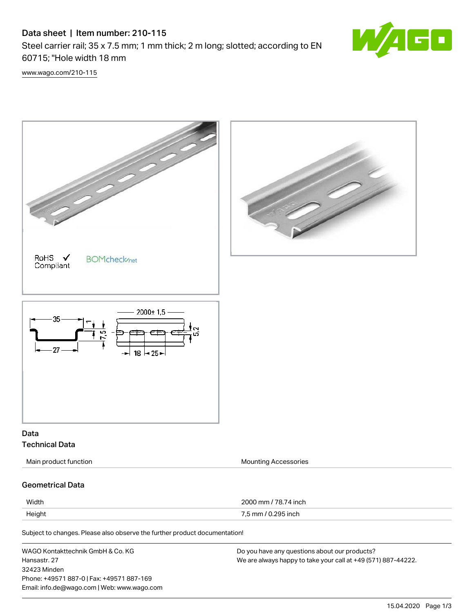## Data sheet | Item number: 210-115

Steel carrier rail; 35 x 7.5 mm; 1 mm thick; 2 m long; slotted; according to EN 60715; "Hole width 18 mm



[www.wago.com/210-115](http://www.wago.com/210-115)

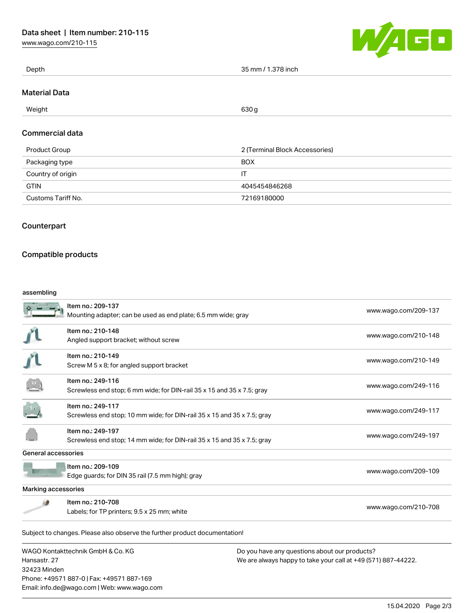[www.wago.com/210-115](http://www.wago.com/210-115)



| Depth                | 35 mm / 1.378 inch |
|----------------------|--------------------|
|                      |                    |
| <b>Material Data</b> |                    |

#### $\mu$  . The Weight field of the contract of the contract of the contract of the contract of the contract of the contract of the contract of the contract of the contract of the contract of the contract of the contract of th

#### Commercial data

| Product Group      | 2 (Terminal Block Accessories) |
|--------------------|--------------------------------|
| Packaging type     | <b>BOX</b>                     |
| Country of origin  | IT                             |
| <b>GTIN</b>        | 4045454846268                  |
| Customs Tariff No. | 72169180000                    |

### **Counterpart**

### Compatible products

Phone: +49571 887-0 | Fax: +49571 887-169 Email: info.de@wago.com | Web: www.wago.com

#### assembling

|                                                                   | Item no.: 209-137<br>Mounting adapter; can be used as end plate; 6.5 mm wide; gray           | www.wago.com/209-137                                                                                           |  |  |
|-------------------------------------------------------------------|----------------------------------------------------------------------------------------------|----------------------------------------------------------------------------------------------------------------|--|--|
|                                                                   | Item no.: 210-148<br>Angled support bracket; without screw                                   | www.wago.com/210-148                                                                                           |  |  |
|                                                                   | Item no.: 210-149<br>Screw M 5 x 8; for angled support bracket                               | www.wago.com/210-149                                                                                           |  |  |
|                                                                   | Item no.: 249-116<br>Screwless end stop; 6 mm wide; for DIN-rail 35 x 15 and 35 x 7.5; gray  | www.wago.com/249-116                                                                                           |  |  |
|                                                                   | Item no.: 249-117<br>Screwless end stop; 10 mm wide; for DIN-rail 35 x 15 and 35 x 7.5; gray | www.wago.com/249-117                                                                                           |  |  |
|                                                                   | Item no.: 249-197<br>Screwless end stop; 14 mm wide; for DIN-rail 35 x 15 and 35 x 7.5; gray | www.wago.com/249-197                                                                                           |  |  |
| <b>General accessories</b>                                        |                                                                                              |                                                                                                                |  |  |
|                                                                   | Item no.: 209-109<br>Edge guards; for DIN 35 rail (7.5 mm high); gray                        | www.wago.com/209-109                                                                                           |  |  |
| Marking accessories                                               |                                                                                              |                                                                                                                |  |  |
|                                                                   | Item no.: 210-708<br>Labels; for TP printers; 9.5 x 25 mm; white                             | www.wago.com/210-708                                                                                           |  |  |
|                                                                   | Subject to changes. Please also observe the further product documentation!                   |                                                                                                                |  |  |
| WAGO Kontakttechnik GmbH & Co. KG<br>Hansastr, 27<br>32423 Minden |                                                                                              | Do you have any questions about our products?<br>We are always happy to take your call at +49 (571) 887-44222. |  |  |